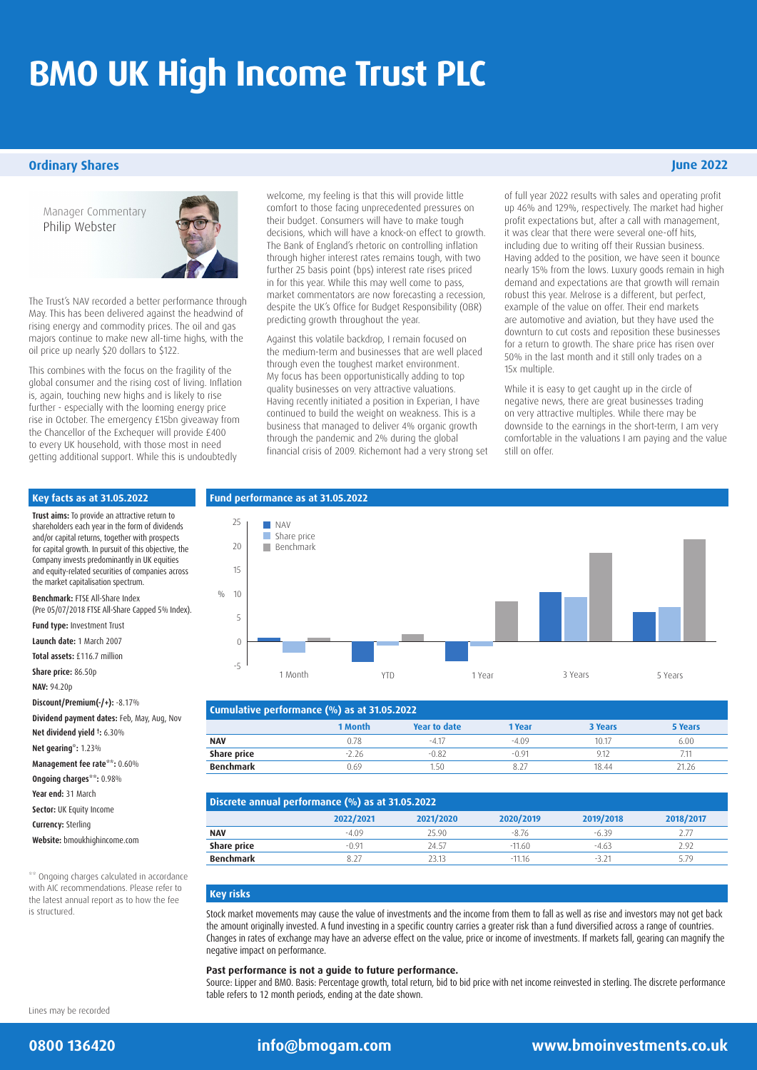# **BMO UK High Income Trust PLC**

### **Ordinary Shares**

Manager Commentary Philip Webster



The Trust's NAV recorded a better performance through May. This has been delivered against the headwind of rising energy and commodity prices. The oil and gas majors continue to make new all-time highs, with the oil price up nearly \$20 dollars to \$122.

This combines with the focus on the fragility of the global consumer and the rising cost of living. Inflation is, again, touching new highs and is likely to rise further - especially with the looming energy price rise in October. The emergency £15bn giveaway from the Chancellor of the Exchequer will provide £400 to every UK household, with those most in need getting additional support. While this is undoubtedly

welcome, my feeling is that this will provide little comfort to those facing unprecedented pressures on their budget. Consumers will have to make tough decisions, which will have a knock-on effect to growth. The Bank of England's rhetoric on controlling inflation through higher interest rates remains tough, with two further 25 basis point (bps) interest rate rises priced in for this year. While this may well come to pass, market commentators are now forecasting a recession, despite the UK's Office for Budget Responsibility (OBR) predicting growth throughout the year.

Against this volatile backdrop, I remain focused on the medium-term and businesses that are well placed through even the toughest market environment. My focus has been opportunistically adding to top quality businesses on very attractive valuations. Having recently initiated a position in Experian, I have continued to build the weight on weakness. This is a business that managed to deliver 4% organic growth through the pandemic and 2% during the global financial crisis of 2009. Richemont had a very strong set of full year 2022 results with sales and operating profit up 46% and 129%, respectively. The market had higher profit expectations but, after a call with management, it was clear that there were several one-off hits, including due to writing off their Russian business. Having added to the position, we have seen it bounce nearly 15% from the lows. Luxury goods remain in high demand and expectations are that growth will remain robust this year. Melrose is a different, but perfect, example of the value on offer. Their end markets are automotive and aviation, but they have used the downturn to cut costs and reposition these businesses for a return to growth. The share price has risen over

While it is easy to get caught up in the circle of negative news, there are great businesses trading on very attractive multiples. While there may be downside to the earnings in the short-term, I am very comfortable in the valuations I am paying and the value still on offer.

50% in the last month and it still only trades on a

15x multiple.

### **Key facts as at 31.05.2022**

 $\frac{0}{0}$ **Trust aims:** To provide an attractive return to shareholders each year in the form of dividends and/or capital returns, together with prospects for capital growth. In pursuit of this objective, the Company invests predominantly in UK equities and equity-related securities of companies across the market capitalisation spectrum. **Benchmark:** FTSE All-Share Index (Pre 05/07/2018 FTSE All-Share Capped 5% Index). **Fund type:** Investment Trust **Launch date:** 1 March 2007 **Total assets:** £116.7 million **Share price:** 86.50p **NAV:** 94.20p **Discount/Premium(-/+):** -8.17% **Dividend payment dates:** Feb, May, Aug, Nov **Net dividend yield † :** 6.30% **Net gearing\*:** 1.23% **Management fee rate\*\*:** 0.60% **Ongoing charges\*\*:** 0.98% **Year end:** 31 March **Sector:** UK Equity Income **Currency:** Sterling **Website:** [bmoukhighincome.com](http://bmoukhighincome.com)

\*\* Ongoing charges calculated in accordance with AIC recommendations. Please refer to the latest annual report as to how the fee is structured.

# **Fund performance as at 31.05.2022**



| Cumulative performance (%) as at 31.05.2022 |         |              |         |         |         |  |
|---------------------------------------------|---------|--------------|---------|---------|---------|--|
|                                             | 1 Month | Year to date | 1 Year  | 3 Years | 5 Years |  |
| <b>NAV</b>                                  | 0.78    | $-4.17$      | $-4.09$ | 10.17   | 6.00    |  |
| Share price                                 | $-2.26$ | $-0.82$      | $-0.91$ | 9.17    | 7.11    |  |
| <b>Benchmark</b>                            | 0.69    | $1.50 -$     | 8.27    | 18 44   | 21.26   |  |

| Discrete annual performance (%) as at 31.05.2022 |           |           |           |           |           |  |
|--------------------------------------------------|-----------|-----------|-----------|-----------|-----------|--|
|                                                  | 2022/2021 | 2021/2020 | 2020/2019 | 2019/2018 | 2018/2017 |  |
| <b>NAV</b>                                       | $-409$    | 25.90     | $-8.76$   | $-6.39$   | 2.77      |  |
| Share price                                      | $-0.91$   | 24.57     | $-11.60$  | $-4.63$   | 2.92      |  |
| <b>Benchmark</b>                                 |           | 23.13     | $-1116$   | -3 71     | 579       |  |

# **Key risks**

Stock market movements may cause the value of investments and the income from them to fall as well as rise and investors may not get back the amount originally invested. A fund investing in a specific country carries a greater risk than a fund diversified across a range of countries. Changes in rates of exchange may have an adverse effect on the value, price or income of investments. If markets fall, gearing can magnify the negative impact on performance.

# **Past performance is not a guide to future performance.**

Source: Lipper and BMO. Basis: Percentage growth, total return, bid to bid price with net income reinvested in sterling. The discrete performance table refers to 12 month periods, ending at the date shown.

Lines may be recorded

# **0800 136420 [info@bmogam.com](mailto:info%40bmogam.com%20?subject=) [www.bmoinvestments.co.uk](http://www.bmoinvestments.co.uk)**

# **June 2022**